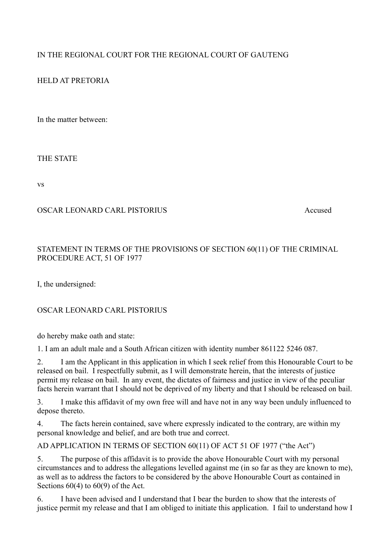# IN THE REGIONAL COURT FOR THE REGIONAL COURT OF GAUTENG

# HELD AT PRETORIA

In the matter between:

THE STATE

vs

#### OSCAR LEONARD CARL PISTORIUS **Accused** Accused

## STATEMENT IN TERMS OF THE PROVISIONS OF SECTION 60(11) OF THE CRIMINAL PROCEDURE ACT, 51 OF 1977

I, the undersigned:

## OSCAR LEONARD CARL PISTORIUS

do hereby make oath and state:

1. I am an adult male and a South African citizen with identity number 861122 5246 087.

2. I am the Applicant in this application in which I seek relief from this Honourable Court to be released on bail. I respectfully submit, as I will demonstrate herein, that the interests of justice permit my release on bail. In any event, the dictates of fairness and justice in view of the peculiar facts herein warrant that I should not be deprived of my liberty and that I should be released on bail.

3. I make this affidavit of my own free will and have not in any way been unduly influenced to depose thereto.

4. The facts herein contained, save where expressly indicated to the contrary, are within my personal knowledge and belief, and are both true and correct.

AD APPLICATION IN TERMS OF SECTION 60(11) OF ACT 51 OF 1977 ("the Act")

5. The purpose of this affidavit is to provide the above Honourable Court with my personal circumstances and to address the allegations levelled against me (in so far as they are known to me), as well as to address the factors to be considered by the above Honourable Court as contained in Sections  $60(4)$  to  $60(9)$  of the Act.

6. I have been advised and I understand that I bear the burden to show that the interests of justice permit my release and that I am obliged to initiate this application. I fail to understand how I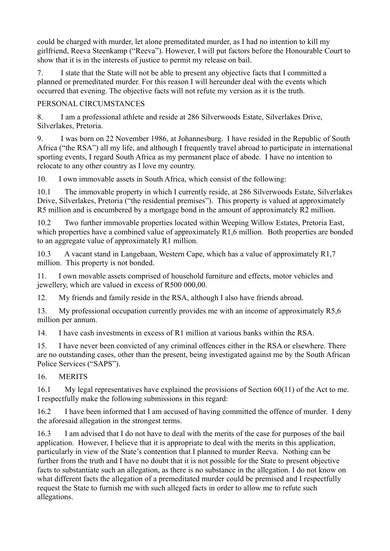could be charged with murder, let alone premeditated murder, as I had no intention to kill my girlfriend, Reeva Steenkamp ("Reeva"). However, I will put factors before the Honourable Court to show that it is in the interests of justice to permit my release on bail.

7. I state that the State will not be able to present any objective facts that I committed a planned or premeditated murder. For this reason I will hereunder deal with the events which occurred that evening. The objective facts will not refute my version as it is the truth.

#### PERSONAL CIRCUMSTANCES

8. I am a professional athlete and reside at 286 Silverwoods Estate, Silverlakes Drive, Silverlakes, Pretoria.

9. I was born on 22 November 1986, at Johannesburg. I have resided in the Republic of South Africa ("the RSA") all my life, and although I frequently travel abroad to participate in international sporting events, I regard South Africa as my permanent place of abode. I have no intention to relocate to any other country as I love my country.

10. I own immovable assets in South Africa, which consist of the following:

10.1 The immovable property in which I currently reside, at 286 Silverwoods Estate, Silverlakes Drive, Silverlakes, Pretoria ("the residential premises"). This property is valued at approximately R5 million and is encumbered by a mortgage bond in the amount of approximately R2 million.

10.2 Two further immovable properties located within Weeping Willow Estates, Pretoria East, which properties have a combined value of approximately R1,6 million. Both properties are bonded to an aggregate value of approximately R1 million.

10.3 A vacant stand in Langebaan, Western Cape, which has a value of approximately R1,7 million. This property is not bonded.

11. I own movable assets comprised of household furniture and effects, motor vehicles and jewellery, which are valued in excess of R500 000,00.

12. My friends and family reside in the RSA, although I also have friends abroad.

13. My professional occupation currently provides me with an income of approximately R5,6 million per annum.

14. I have cash investments in excess of R1 million at various banks within the RSA.

15. I have never been convicted of any criminal offences either in the RSA or elsewhere. There are no outstanding cases, other than the present, being investigated against me by the South African Police Services ("SAPS").

## 16. MERITS

16.1 My legal representatives have explained the provisions of Section 60(11) of the Act to me. I respectfully make the following submissions in this regard:

16.2 I have been informed that I am accused of having committed the offence of murder. I deny the aforesaid allegation in the strongest terms.

16.3 I am advised that I do not have to deal with the merits of the case for purposes of the bail application. However, I believe that it is appropriate to deal with the merits in this application, particularly in view of the State's contention that I planned to murder Reeva. Nothing can be further from the truth and I have no doubt that it is not possible for the State to present objective facts to substantiate such an allegation, as there is no substance in the allegation. I do not know on what different facts the allegation of a premeditated murder could be premised and I respectfully request the State to furnish me with such alleged facts in order to allow me to refute such allegations.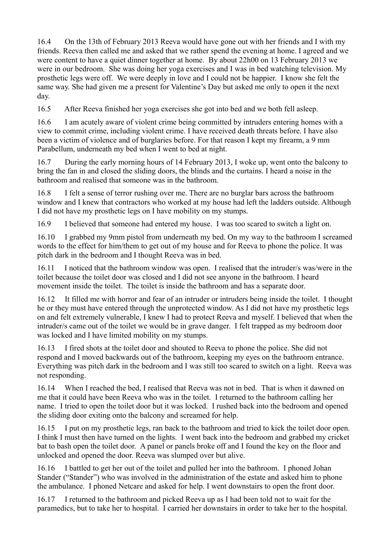16.4 On the 13th of February 2013 Reeva would have gone out with her friends and I with my friends. Reeva then called me and asked that we rather spend the evening at home. I agreed and we were content to have a quiet dinner together at home. By about 22h00 on 13 February 2013 we were in our bedroom. She was doing her yoga exercises and I was in bed watching television. My prosthetic legs were off. We were deeply in love and I could not be happier. I know she felt the same way. She had given me a present for Valentine's Day but asked me only to open it the next day.

16.5 After Reeva finished her yoga exercises she got into bed and we both fell asleep.

16.6 I am acutely aware of violent crime being committed by intruders entering homes with a view to commit crime, including violent crime. I have received death threats before. I have also been a victim of violence and of burglaries before. For that reason I kept my firearm, a 9 mm Parabellum, underneath my bed when I went to bed at night.

16.7 During the early morning hours of 14 February 2013, I woke up, went onto the balcony to bring the fan in and closed the sliding doors, the blinds and the curtains. I heard a noise in the bathroom and realised that someone was in the bathroom.

16.8 I felt a sense of terror rushing over me. There are no burglar bars across the bathroom window and I knew that contractors who worked at my house had left the ladders outside. Although I did not have my prosthetic legs on I have mobility on my stumps.

16.9 I believed that someone had entered my house. I was too scared to switch a light on.

16.10 I grabbed my 9mm pistol from underneath my bed. On my way to the bathroom I screamed words to the effect for him/them to get out of my house and for Reeva to phone the police. It was pitch dark in the bedroom and I thought Reeva was in bed.

16.11 I noticed that the bathroom window was open. I realised that the intruder/s was/were in the toilet because the toilet door was closed and I did not see anyone in the bathroom. I heard movement inside the toilet. The toilet is inside the bathroom and has a separate door.

16.12 It filled me with horror and fear of an intruder or intruders being inside the toilet. I thought he or they must have entered through the unprotected window. As I did not have my prosthetic legs on and felt extremely vulnerable, I knew I had to protect Reeva and myself. I believed that when the intruder/s came out of the toilet we would be in grave danger. I felt trapped as my bedroom door was locked and I have limited mobility on my stumps.

16.13 I fired shots at the toilet door and shouted to Reeva to phone the police. She did not respond and I moved backwards out of the bathroom, keeping my eyes on the bathroom entrance. Everything was pitch dark in the bedroom and I was still too scared to switch on a light. Reeva was not responding.

16.14 When I reached the bed, I realised that Reeva was not in bed. That is when it dawned on me that it could have been Reeva who was in the toilet. I returned to the bathroom calling her name. I tried to open the toilet door but it was locked. I rushed back into the bedroom and opened the sliding door exiting onto the balcony and screamed for help.

16.15 I put on my prosthetic legs, ran back to the bathroom and tried to kick the toilet door open. I think I must then have turned on the lights. I went back into the bedroom and grabbed my cricket bat to bash open the toilet door. A panel or panels broke off and I found the key on the floor and unlocked and opened the door. Reeva was slumped over but alive.

16.16 I battled to get her out of the toilet and pulled her into the bathroom. I phoned Johan Stander ("Stander") who was involved in the administration of the estate and asked him to phone the ambulance. I phoned Netcare and asked for help. I went downstairs to open the front door.

16.17 I returned to the bathroom and picked Reeva up as I had been told not to wait for the paramedics, but to take her to hospital. I carried her downstairs in order to take her to the hospital.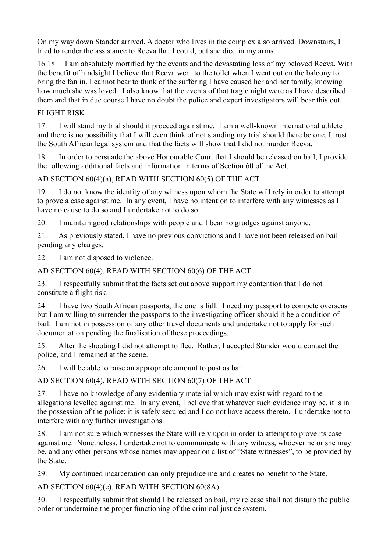On my way down Stander arrived. A doctor who lives in the complex also arrived. Downstairs, I tried to render the assistance to Reeva that I could, but she died in my arms.

16.18 I am absolutely mortified by the events and the devastating loss of my beloved Reeva. With the benefit of hindsight I believe that Reeva went to the toilet when I went out on the balcony to bring the fan in. I cannot bear to think of the suffering I have caused her and her family, knowing how much she was loved. I also know that the events of that tragic night were as I have described them and that in due course I have no doubt the police and expert investigators will bear this out.

#### FLIGHT RISK

17. I will stand my trial should it proceed against me. I am a well-known international athlete and there is no possibility that I will even think of not standing my trial should there be one. I trust the South African legal system and that the facts will show that I did not murder Reeva.

18. In order to persuade the above Honourable Court that I should be released on bail, I provide the following additional facts and information in terms of Section 60 of the Act.

AD SECTION 60(4)(a), READ WITH SECTION 60(5) OF THE ACT

19. I do not know the identity of any witness upon whom the State will rely in order to attempt to prove a case against me. In any event, I have no intention to interfere with any witnesses as I have no cause to do so and I undertake not to do so.

20. I maintain good relationships with people and I bear no grudges against anyone.

21. As previously stated, I have no previous convictions and I have not been released on bail pending any charges.

22. I am not disposed to violence.

AD SECTION 60(4), READ WITH SECTION 60(6) OF THE ACT

23. I respectfully submit that the facts set out above support my contention that I do not constitute a flight risk.

24. I have two South African passports, the one is full. I need my passport to compete overseas but I am willing to surrender the passports to the investigating officer should it be a condition of bail. I am not in possession of any other travel documents and undertake not to apply for such documentation pending the finalisation of these proceedings.

25. After the shooting I did not attempt to flee. Rather, I accepted Stander would contact the police, and I remained at the scene.

26. I will be able to raise an appropriate amount to post as bail.

AD SECTION 60(4), READ WITH SECTION 60(7) OF THE ACT

27. I have no knowledge of any evidentiary material which may exist with regard to the allegations levelled against me. In any event, I believe that whatever such evidence may be, it is in the possession of the police; it is safely secured and I do not have access thereto. I undertake not to interfere with any further investigations.

28. I am not sure which witnesses the State will rely upon in order to attempt to prove its case against me. Nonetheless, I undertake not to communicate with any witness, whoever he or she may be, and any other persons whose names may appear on a list of "State witnesses", to be provided by the State.

29. My continued incarceration can only prejudice me and creates no benefit to the State.

AD SECTION 60(4)(e), READ WITH SECTION 60(8A)

30. I respectfully submit that should I be released on bail, my release shall not disturb the public order or undermine the proper functioning of the criminal justice system.